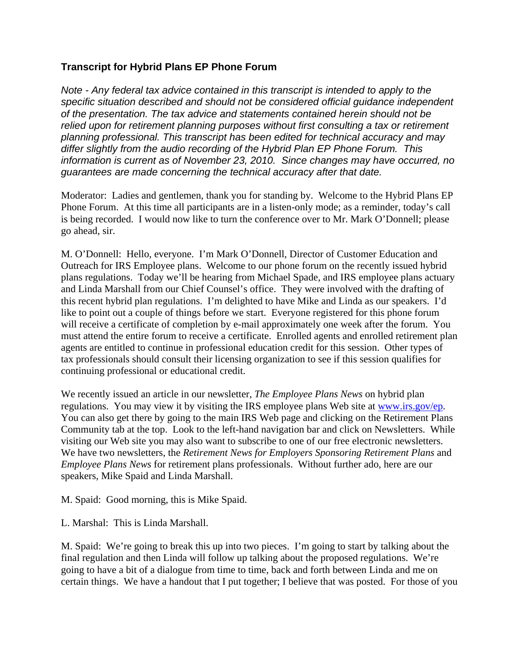## **Transcript for Hybrid Plans EP Phone Forum**

*Note - Any federal tax advice contained in this transcript is intended to apply to the specific situation described and should not be considered official guidance independent of the presentation. The tax advice and statements contained herein should not be relied upon for retirement planning purposes without first consulting a tax or retirement planning professional. This transcript has been edited for technical accuracy and may differ slightly from the audio recording of the Hybrid Plan EP Phone Forum. This information is current as of November 23, 2010. Since changes may have occurred, no guarantees are made concerning the technical accuracy after that date.* 

Moderator: Ladies and gentlemen, thank you for standing by. Welcome to the Hybrid Plans EP Phone Forum. At this time all participants are in a listen-only mode; as a reminder, today's call is being recorded. I would now like to turn the conference over to Mr. Mark O'Donnell; please go ahead, sir.

M. O'Donnell: Hello, everyone. I'm Mark O'Donnell, Director of Customer Education and Outreach for IRS Employee plans. Welcome to our phone forum on the recently issued hybrid plans regulations. Today we'll be hearing from Michael Spade, and IRS employee plans actuary and Linda Marshall from our Chief Counsel's office. They were involved with the drafting of this recent hybrid plan regulations. I'm delighted to have Mike and Linda as our speakers. I'd like to point out a couple of things before we start. Everyone registered for this phone forum will receive a certificate of completion by e-mail approximately one week after the forum. You must attend the entire forum to receive a certificate. Enrolled agents and enrolled retirement plan agents are entitled to continue in professional education credit for this session. Other types of tax professionals should consult their licensing organization to see if this session qualifies for continuing professional or educational credit.

We recently issued an article in our newsletter, *The Employee Plans News* on hybrid plan regulations. You may view it by visiting the IRS employee plans Web site at [www.irs.gov/ep.](http://www.irs.gov/ep) You can also get there by going to the main IRS Web page and clicking on the Retirement Plans Community tab at the top. Look to the left-hand navigation bar and click on Newsletters. While visiting our Web site you may also want to subscribe to one of our free electronic newsletters. We have two newsletters, the *Retirement News for Employers Sponsoring Retirement Plans* and *Employee Plans News* for retirement plans professionals. Without further ado, here are our speakers, Mike Spaid and Linda Marshall.

M. Spaid: Good morning, this is Mike Spaid.

L. Marshal: This is Linda Marshall.

M. Spaid: We're going to break this up into two pieces. I'm going to start by talking about the final regulation and then Linda will follow up talking about the proposed regulations. We're going to have a bit of a dialogue from time to time, back and forth between Linda and me on certain things. We have a handout that I put together; I believe that was posted. For those of you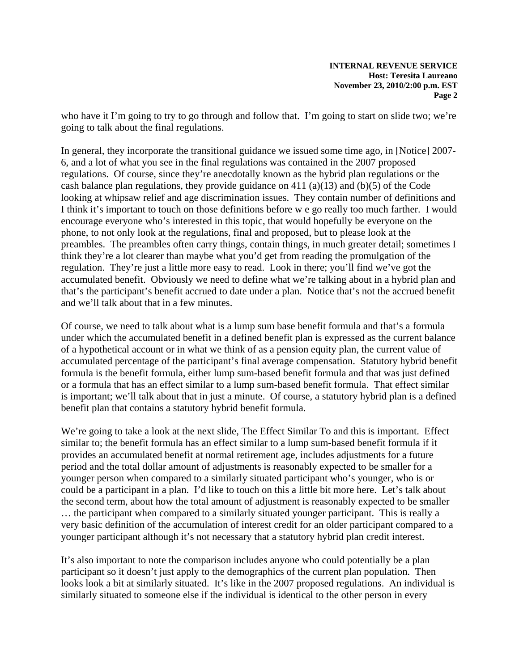who have it I'm going to try to go through and follow that. I'm going to start on slide two; we're going to talk about the final regulations.

In general, they incorporate the transitional guidance we issued some time ago, in [Notice] 2007- 6, and a lot of what you see in the final regulations was contained in the 2007 proposed regulations. Of course, since they're anecdotally known as the hybrid plan regulations or the cash balance plan regulations, they provide guidance on 411 (a)(13) and (b)(5) of the Code looking at whipsaw relief and age discrimination issues. They contain number of definitions and I think it's important to touch on those definitions before w e go really too much farther. I would encourage everyone who's interested in this topic, that would hopefully be everyone on the phone, to not only look at the regulations, final and proposed, but to please look at the preambles. The preambles often carry things, contain things, in much greater detail; sometimes I think they're a lot clearer than maybe what you'd get from reading the promulgation of the regulation. They're just a little more easy to read. Look in there; you'll find we've got the accumulated benefit. Obviously we need to define what we're talking about in a hybrid plan and that's the participant's benefit accrued to date under a plan. Notice that's not the accrued benefit and we'll talk about that in a few minutes.

Of course, we need to talk about what is a lump sum base benefit formula and that's a formula under which the accumulated benefit in a defined benefit plan is expressed as the current balance of a hypothetical account or in what we think of as a pension equity plan, the current value of accumulated percentage of the participant's final average compensation. Statutory hybrid benefit formula is the benefit formula, either lump sum-based benefit formula and that was just defined or a formula that has an effect similar to a lump sum-based benefit formula. That effect similar is important; we'll talk about that in just a minute. Of course, a statutory hybrid plan is a defined benefit plan that contains a statutory hybrid benefit formula.

We're going to take a look at the next slide, The Effect Similar To and this is important. Effect similar to; the benefit formula has an effect similar to a lump sum-based benefit formula if it provides an accumulated benefit at normal retirement age, includes adjustments for a future period and the total dollar amount of adjustments is reasonably expected to be smaller for a younger person when compared to a similarly situated participant who's younger, who is or could be a participant in a plan. I'd like to touch on this a little bit more here. Let's talk about the second term, about how the total amount of adjustment is reasonably expected to be smaller … the participant when compared to a similarly situated younger participant. This is really a very basic definition of the accumulation of interest credit for an older participant compared to a younger participant although it's not necessary that a statutory hybrid plan credit interest.

It's also important to note the comparison includes anyone who could potentially be a plan participant so it doesn't just apply to the demographics of the current plan population. Then looks look a bit at similarly situated. It's like in the 2007 proposed regulations. An individual is similarly situated to someone else if the individual is identical to the other person in every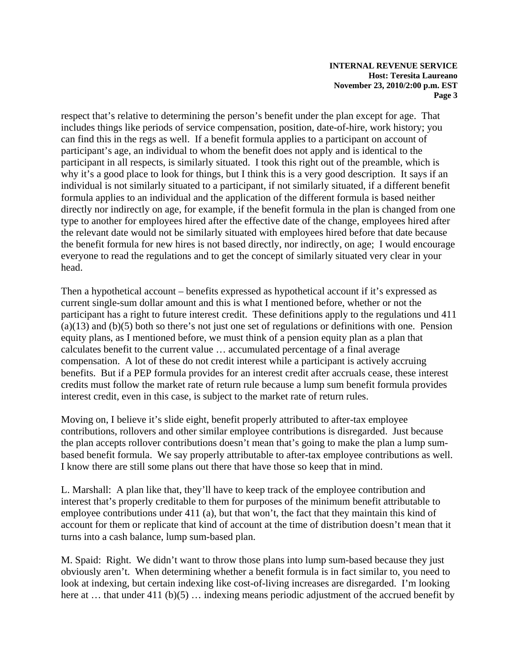respect that's relative to determining the person's benefit under the plan except for age. That includes things like periods of service compensation, position, date-of-hire, work history; you can find this in the regs as well. If a benefit formula applies to a participant on account of participant's age, an individual to whom the benefit does not apply and is identical to the participant in all respects, is similarly situated. I took this right out of the preamble, which is why it's a good place to look for things, but I think this is a very good description. It says if an individual is not similarly situated to a participant, if not similarly situated, if a different benefit formula applies to an individual and the application of the different formula is based neither directly nor indirectly on age, for example, if the benefit formula in the plan is changed from one type to another for employees hired after the effective date of the change, employees hired after the relevant date would not be similarly situated with employees hired before that date because the benefit formula for new hires is not based directly, nor indirectly, on age; I would encourage everyone to read the regulations and to get the concept of similarly situated very clear in your head.

Then a hypothetical account – benefits expressed as hypothetical account if it's expressed as current single-sum dollar amount and this is what I mentioned before, whether or not the participant has a right to future interest credit. These definitions apply to the regulations und 411  $(a)(13)$  and  $(b)(5)$  both so there's not just one set of regulations or definitions with one. Pension equity plans, as I mentioned before, we must think of a pension equity plan as a plan that calculates benefit to the current value … accumulated percentage of a final average compensation. A lot of these do not credit interest while a participant is actively accruing benefits. But if a PEP formula provides for an interest credit after accruals cease, these interest credits must follow the market rate of return rule because a lump sum benefit formula provides interest credit, even in this case, is subject to the market rate of return rules.

Moving on, I believe it's slide eight, benefit properly attributed to after-tax employee contributions, rollovers and other similar employee contributions is disregarded. Just because the plan accepts rollover contributions doesn't mean that's going to make the plan a lump sumbased benefit formula. We say properly attributable to after-tax employee contributions as well. I know there are still some plans out there that have those so keep that in mind.

L. Marshall: A plan like that, they'll have to keep track of the employee contribution and interest that's properly creditable to them for purposes of the minimum benefit attributable to employee contributions under 411 (a), but that won't, the fact that they maintain this kind of account for them or replicate that kind of account at the time of distribution doesn't mean that it turns into a cash balance, lump sum-based plan.

M. Spaid: Right. We didn't want to throw those plans into lump sum-based because they just obviously aren't. When determining whether a benefit formula is in fact similar to, you need to look at indexing, but certain indexing like cost-of-living increases are disregarded. I'm looking here at ... that under 411 (b)(5) ... indexing means periodic adjustment of the accrued benefit by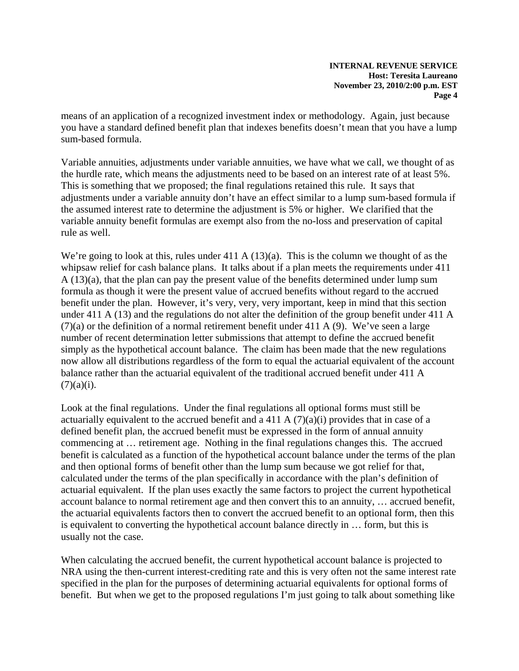means of an application of a recognized investment index or methodology. Again, just because you have a standard defined benefit plan that indexes benefits doesn't mean that you have a lump sum-based formula.

Variable annuities, adjustments under variable annuities, we have what we call, we thought of as the hurdle rate, which means the adjustments need to be based on an interest rate of at least 5%. This is something that we proposed; the final regulations retained this rule. It says that adjustments under a variable annuity don't have an effect similar to a lump sum-based formula if the assumed interest rate to determine the adjustment is 5% or higher. We clarified that the variable annuity benefit formulas are exempt also from the no-loss and preservation of capital rule as well.

We're going to look at this, rules under 411 A (13)(a). This is the column we thought of as the whipsaw relief for cash balance plans. It talks about if a plan meets the requirements under 411 A (13)(a), that the plan can pay the present value of the benefits determined under lump sum formula as though it were the present value of accrued benefits without regard to the accrued benefit under the plan. However, it's very, very, very important, keep in mind that this section under 411 A (13) and the regulations do not alter the definition of the group benefit under 411 A  $(7)(a)$  or the definition of a normal retirement benefit under 411 A (9). We've seen a large number of recent determination letter submissions that attempt to define the accrued benefit simply as the hypothetical account balance. The claim has been made that the new regulations now allow all distributions regardless of the form to equal the actuarial equivalent of the account balance rather than the actuarial equivalent of the traditional accrued benefit under 411 A  $(7)(a)(i)$ .

Look at the final regulations. Under the final regulations all optional forms must still be actuarially equivalent to the accrued benefit and a 411 A  $(7)(a)(i)$  provides that in case of a defined benefit plan, the accrued benefit must be expressed in the form of annual annuity commencing at … retirement age. Nothing in the final regulations changes this. The accrued benefit is calculated as a function of the hypothetical account balance under the terms of the plan and then optional forms of benefit other than the lump sum because we got relief for that, calculated under the terms of the plan specifically in accordance with the plan's definition of actuarial equivalent. If the plan uses exactly the same factors to project the current hypothetical account balance to normal retirement age and then convert this to an annuity, … accrued benefit, the actuarial equivalents factors then to convert the accrued benefit to an optional form, then this is equivalent to converting the hypothetical account balance directly in … form, but this is usually not the case.

When calculating the accrued benefit, the current hypothetical account balance is projected to NRA using the then-current interest-crediting rate and this is very often not the same interest rate specified in the plan for the purposes of determining actuarial equivalents for optional forms of benefit. But when we get to the proposed regulations I'm just going to talk about something like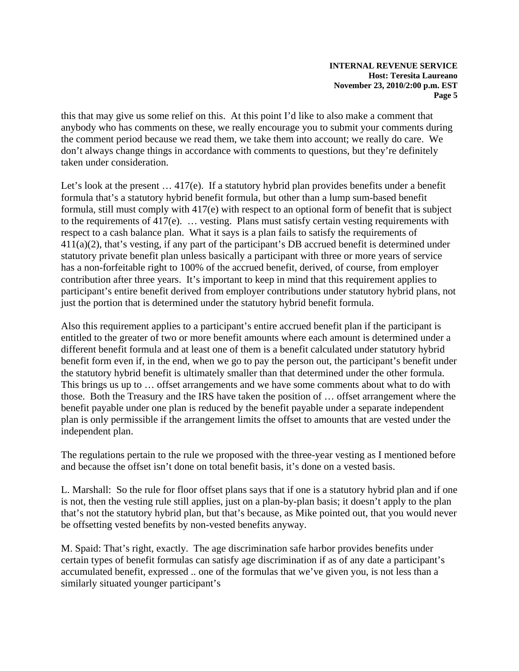this that may give us some relief on this. At this point I'd like to also make a comment that anybody who has comments on these, we really encourage you to submit your comments during the comment period because we read them, we take them into account; we really do care. We don't always change things in accordance with comments to questions, but they're definitely taken under consideration.

Let's look at the present ... 417(e). If a statutory hybrid plan provides benefits under a benefit formula that's a statutory hybrid benefit formula, but other than a lump sum-based benefit formula, still must comply with 417(e) with respect to an optional form of benefit that is subject to the requirements of 417(e). … vesting. Plans must satisfy certain vesting requirements with respect to a cash balance plan. What it says is a plan fails to satisfy the requirements of 411(a)(2), that's vesting, if any part of the participant's DB accrued benefit is determined under statutory private benefit plan unless basically a participant with three or more years of service has a non-forfeitable right to 100% of the accrued benefit, derived, of course, from employer contribution after three years. It's important to keep in mind that this requirement applies to participant's entire benefit derived from employer contributions under statutory hybrid plans, not just the portion that is determined under the statutory hybrid benefit formula.

Also this requirement applies to a participant's entire accrued benefit plan if the participant is entitled to the greater of two or more benefit amounts where each amount is determined under a different benefit formula and at least one of them is a benefit calculated under statutory hybrid benefit form even if, in the end, when we go to pay the person out, the participant's benefit under the statutory hybrid benefit is ultimately smaller than that determined under the other formula. This brings us up to … offset arrangements and we have some comments about what to do with those. Both the Treasury and the IRS have taken the position of … offset arrangement where the benefit payable under one plan is reduced by the benefit payable under a separate independent plan is only permissible if the arrangement limits the offset to amounts that are vested under the independent plan.

The regulations pertain to the rule we proposed with the three-year vesting as I mentioned before and because the offset isn't done on total benefit basis, it's done on a vested basis.

L. Marshall: So the rule for floor offset plans says that if one is a statutory hybrid plan and if one is not, then the vesting rule still applies, just on a plan-by-plan basis; it doesn't apply to the plan that's not the statutory hybrid plan, but that's because, as Mike pointed out, that you would never be offsetting vested benefits by non-vested benefits anyway.

M. Spaid: That's right, exactly. The age discrimination safe harbor provides benefits under certain types of benefit formulas can satisfy age discrimination if as of any date a participant's accumulated benefit, expressed .. one of the formulas that we've given you, is not less than a similarly situated younger participant's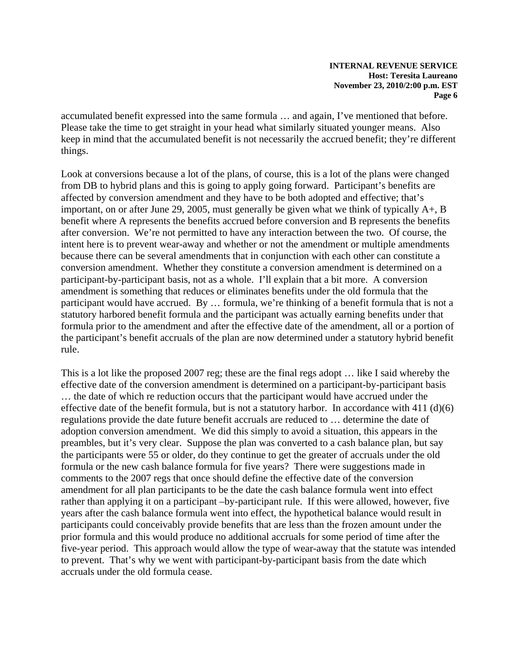accumulated benefit expressed into the same formula … and again, I've mentioned that before. Please take the time to get straight in your head what similarly situated younger means. Also keep in mind that the accumulated benefit is not necessarily the accrued benefit; they're different things.

Look at conversions because a lot of the plans, of course, this is a lot of the plans were changed from DB to hybrid plans and this is going to apply going forward. Participant's benefits are affected by conversion amendment and they have to be both adopted and effective; that's important, on or after June 29, 2005, must generally be given what we think of typically A+, B benefit where A represents the benefits accrued before conversion and B represents the benefits after conversion. We're not permitted to have any interaction between the two. Of course, the intent here is to prevent wear-away and whether or not the amendment or multiple amendments because there can be several amendments that in conjunction with each other can constitute a conversion amendment. Whether they constitute a conversion amendment is determined on a participant-by-participant basis, not as a whole. I'll explain that a bit more. A conversion amendment is something that reduces or eliminates benefits under the old formula that the participant would have accrued. By … formula, we're thinking of a benefit formula that is not a statutory harbored benefit formula and the participant was actually earning benefits under that formula prior to the amendment and after the effective date of the amendment, all or a portion of the participant's benefit accruals of the plan are now determined under a statutory hybrid benefit rule.

This is a lot like the proposed 2007 reg; these are the final regs adopt … like I said whereby the effective date of the conversion amendment is determined on a participant-by-participant basis … the date of which re reduction occurs that the participant would have accrued under the effective date of the benefit formula, but is not a statutory harbor. In accordance with 411 (d)(6) regulations provide the date future benefit accruals are reduced to … determine the date of adoption conversion amendment. We did this simply to avoid a situation, this appears in the preambles, but it's very clear. Suppose the plan was converted to a cash balance plan, but say the participants were 55 or older, do they continue to get the greater of accruals under the old formula or the new cash balance formula for five years? There were suggestions made in comments to the 2007 regs that once should define the effective date of the conversion amendment for all plan participants to be the date the cash balance formula went into effect rather than applying it on a participant –by-participant rule. If this were allowed, however, five years after the cash balance formula went into effect, the hypothetical balance would result in participants could conceivably provide benefits that are less than the frozen amount under the prior formula and this would produce no additional accruals for some period of time after the five-year period. This approach would allow the type of wear-away that the statute was intended to prevent. That's why we went with participant-by-participant basis from the date which accruals under the old formula cease.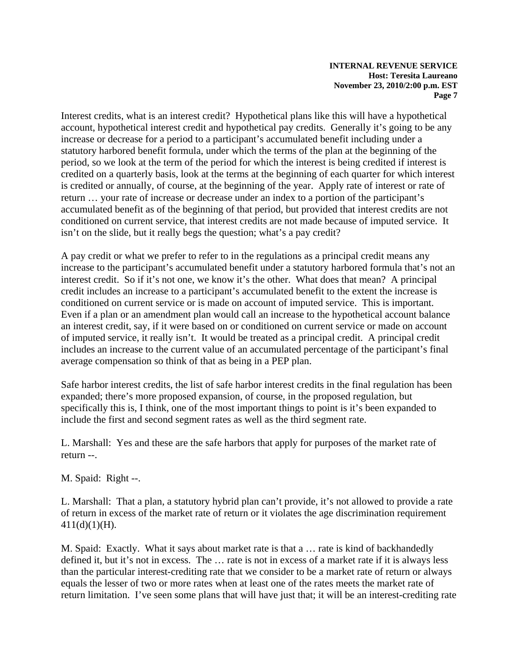Interest credits, what is an interest credit? Hypothetical plans like this will have a hypothetical account, hypothetical interest credit and hypothetical pay credits. Generally it's going to be any increase or decrease for a period to a participant's accumulated benefit including under a statutory harbored benefit formula, under which the terms of the plan at the beginning of the period, so we look at the term of the period for which the interest is being credited if interest is credited on a quarterly basis, look at the terms at the beginning of each quarter for which interest is credited or annually, of course, at the beginning of the year. Apply rate of interest or rate of return … your rate of increase or decrease under an index to a portion of the participant's accumulated benefit as of the beginning of that period, but provided that interest credits are not conditioned on current service, that interest credits are not made because of imputed service. It isn't on the slide, but it really begs the question; what's a pay credit?

A pay credit or what we prefer to refer to in the regulations as a principal credit means any increase to the participant's accumulated benefit under a statutory harbored formula that's not an interest credit. So if it's not one, we know it's the other. What does that mean? A principal credit includes an increase to a participant's accumulated benefit to the extent the increase is conditioned on current service or is made on account of imputed service. This is important. Even if a plan or an amendment plan would call an increase to the hypothetical account balance an interest credit, say, if it were based on or conditioned on current service or made on account of imputed service, it really isn't. It would be treated as a principal credit. A principal credit includes an increase to the current value of an accumulated percentage of the participant's final average compensation so think of that as being in a PEP plan.

Safe harbor interest credits, the list of safe harbor interest credits in the final regulation has been expanded; there's more proposed expansion, of course, in the proposed regulation, but specifically this is, I think, one of the most important things to point is it's been expanded to include the first and second segment rates as well as the third segment rate.

L. Marshall: Yes and these are the safe harbors that apply for purposes of the market rate of return --.

M. Spaid: Right --.

L. Marshall: That a plan, a statutory hybrid plan can't provide, it's not allowed to provide a rate of return in excess of the market rate of return or it violates the age discrimination requirement 411(d)(1)(H).

M. Spaid: Exactly. What it says about market rate is that a … rate is kind of backhandedly defined it, but it's not in excess. The … rate is not in excess of a market rate if it is always less than the particular interest-crediting rate that we consider to be a market rate of return or always equals the lesser of two or more rates when at least one of the rates meets the market rate of return limitation. I've seen some plans that will have just that; it will be an interest-crediting rate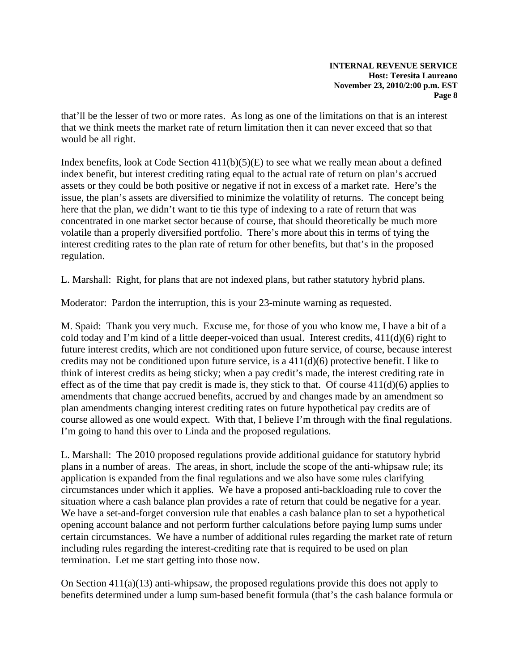that'll be the lesser of two or more rates. As long as one of the limitations on that is an interest that we think meets the market rate of return limitation then it can never exceed that so that would be all right.

Index benefits, look at Code Section 411(b)(5)(E) to see what we really mean about a defined index benefit, but interest crediting rating equal to the actual rate of return on plan's accrued assets or they could be both positive or negative if not in excess of a market rate. Here's the issue, the plan's assets are diversified to minimize the volatility of returns. The concept being here that the plan, we didn't want to tie this type of indexing to a rate of return that was concentrated in one market sector because of course, that should theoretically be much more volatile than a properly diversified portfolio. There's more about this in terms of tying the interest crediting rates to the plan rate of return for other benefits, but that's in the proposed regulation.

L. Marshall: Right, for plans that are not indexed plans, but rather statutory hybrid plans.

Moderator: Pardon the interruption, this is your 23-minute warning as requested.

M. Spaid: Thank you very much. Excuse me, for those of you who know me, I have a bit of a cold today and I'm kind of a little deeper-voiced than usual. Interest credits, 411(d)(6) right to future interest credits, which are not conditioned upon future service, of course, because interest credits may not be conditioned upon future service, is a 411(d)(6) protective benefit. I like to think of interest credits as being sticky; when a pay credit's made, the interest crediting rate in effect as of the time that pay credit is made is, they stick to that. Of course  $411(d)(6)$  applies to amendments that change accrued benefits, accrued by and changes made by an amendment so plan amendments changing interest crediting rates on future hypothetical pay credits are of course allowed as one would expect. With that, I believe I'm through with the final regulations. I'm going to hand this over to Linda and the proposed regulations.

L. Marshall: The 2010 proposed regulations provide additional guidance for statutory hybrid plans in a number of areas. The areas, in short, include the scope of the anti-whipsaw rule; its application is expanded from the final regulations and we also have some rules clarifying circumstances under which it applies. We have a proposed anti-backloading rule to cover the situation where a cash balance plan provides a rate of return that could be negative for a year. We have a set-and-forget conversion rule that enables a cash balance plan to set a hypothetical opening account balance and not perform further calculations before paying lump sums under certain circumstances. We have a number of additional rules regarding the market rate of return including rules regarding the interest-crediting rate that is required to be used on plan termination. Let me start getting into those now.

On Section 411(a)(13) anti-whipsaw, the proposed regulations provide this does not apply to benefits determined under a lump sum-based benefit formula (that's the cash balance formula or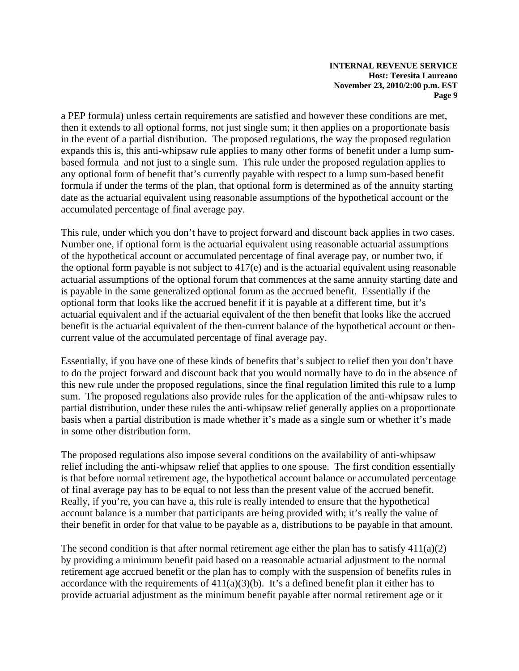a PEP formula) unless certain requirements are satisfied and however these conditions are met, then it extends to all optional forms, not just single sum; it then applies on a proportionate basis in the event of a partial distribution. The proposed regulations, the way the proposed regulation expands this is, this anti-whipsaw rule applies to many other forms of benefit under a lump sumbased formula and not just to a single sum. This rule under the proposed regulation applies to any optional form of benefit that's currently payable with respect to a lump sum-based benefit formula if under the terms of the plan, that optional form is determined as of the annuity starting date as the actuarial equivalent using reasonable assumptions of the hypothetical account or the accumulated percentage of final average pay.

This rule, under which you don't have to project forward and discount back applies in two cases. Number one, if optional form is the actuarial equivalent using reasonable actuarial assumptions of the hypothetical account or accumulated percentage of final average pay, or number two, if the optional form payable is not subject to 417(e) and is the actuarial equivalent using reasonable actuarial assumptions of the optional forum that commences at the same annuity starting date and is payable in the same generalized optional forum as the accrued benefit. Essentially if the optional form that looks like the accrued benefit if it is payable at a different time, but it's actuarial equivalent and if the actuarial equivalent of the then benefit that looks like the accrued benefit is the actuarial equivalent of the then-current balance of the hypothetical account or thencurrent value of the accumulated percentage of final average pay.

Essentially, if you have one of these kinds of benefits that's subject to relief then you don't have to do the project forward and discount back that you would normally have to do in the absence of this new rule under the proposed regulations, since the final regulation limited this rule to a lump sum. The proposed regulations also provide rules for the application of the anti-whipsaw rules to partial distribution, under these rules the anti-whipsaw relief generally applies on a proportionate basis when a partial distribution is made whether it's made as a single sum or whether it's made in some other distribution form.

The proposed regulations also impose several conditions on the availability of anti-whipsaw relief including the anti-whipsaw relief that applies to one spouse. The first condition essentially is that before normal retirement age, the hypothetical account balance or accumulated percentage of final average pay has to be equal to not less than the present value of the accrued benefit. Really, if you're, you can have a, this rule is really intended to ensure that the hypothetical account balance is a number that participants are being provided with; it's really the value of their benefit in order for that value to be payable as a, distributions to be payable in that amount.

The second condition is that after normal retirement age either the plan has to satisfy  $411(a)(2)$ by providing a minimum benefit paid based on a reasonable actuarial adjustment to the normal retirement age accrued benefit or the plan has to comply with the suspension of benefits rules in accordance with the requirements of  $411(a)(3)(b)$ . It's a defined benefit plan it either has to provide actuarial adjustment as the minimum benefit payable after normal retirement age or it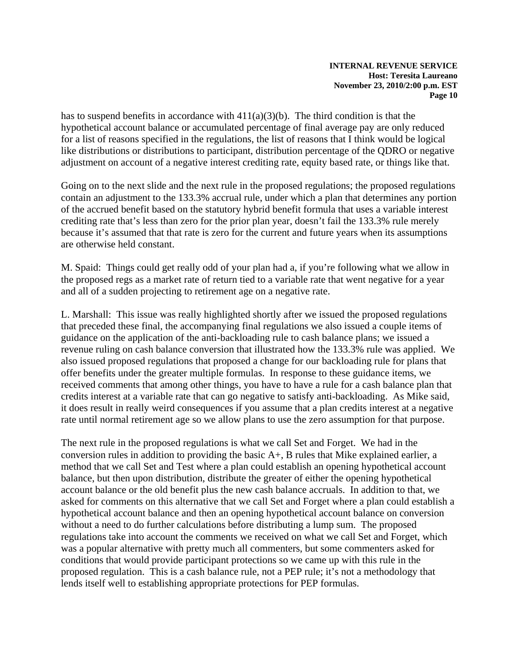has to suspend benefits in accordance with  $411(a)(3)(b)$ . The third condition is that the hypothetical account balance or accumulated percentage of final average pay are only reduced for a list of reasons specified in the regulations, the list of reasons that I think would be logical like distributions or distributions to participant, distribution percentage of the QDRO or negative adjustment on account of a negative interest crediting rate, equity based rate, or things like that.

Going on to the next slide and the next rule in the proposed regulations; the proposed regulations contain an adjustment to the 133.3% accrual rule, under which a plan that determines any portion of the accrued benefit based on the statutory hybrid benefit formula that uses a variable interest crediting rate that's less than zero for the prior plan year, doesn't fail the 133.3% rule merely because it's assumed that that rate is zero for the current and future years when its assumptions are otherwise held constant.

M. Spaid: Things could get really odd of your plan had a, if you're following what we allow in the proposed regs as a market rate of return tied to a variable rate that went negative for a year and all of a sudden projecting to retirement age on a negative rate.

L. Marshall: This issue was really highlighted shortly after we issued the proposed regulations that preceded these final, the accompanying final regulations we also issued a couple items of guidance on the application of the anti-backloading rule to cash balance plans; we issued a revenue ruling on cash balance conversion that illustrated how the 133.3% rule was applied. We also issued proposed regulations that proposed a change for our backloading rule for plans that offer benefits under the greater multiple formulas. In response to these guidance items, we received comments that among other things, you have to have a rule for a cash balance plan that credits interest at a variable rate that can go negative to satisfy anti-backloading. As Mike said, it does result in really weird consequences if you assume that a plan credits interest at a negative rate until normal retirement age so we allow plans to use the zero assumption for that purpose.

The next rule in the proposed regulations is what we call Set and Forget. We had in the conversion rules in addition to providing the basic A+, B rules that Mike explained earlier, a method that we call Set and Test where a plan could establish an opening hypothetical account balance, but then upon distribution, distribute the greater of either the opening hypothetical account balance or the old benefit plus the new cash balance accruals. In addition to that, we asked for comments on this alternative that we call Set and Forget where a plan could establish a hypothetical account balance and then an opening hypothetical account balance on conversion without a need to do further calculations before distributing a lump sum. The proposed regulations take into account the comments we received on what we call Set and Forget, which was a popular alternative with pretty much all commenters, but some commenters asked for conditions that would provide participant protections so we came up with this rule in the proposed regulation. This is a cash balance rule, not a PEP rule; it's not a methodology that lends itself well to establishing appropriate protections for PEP formulas.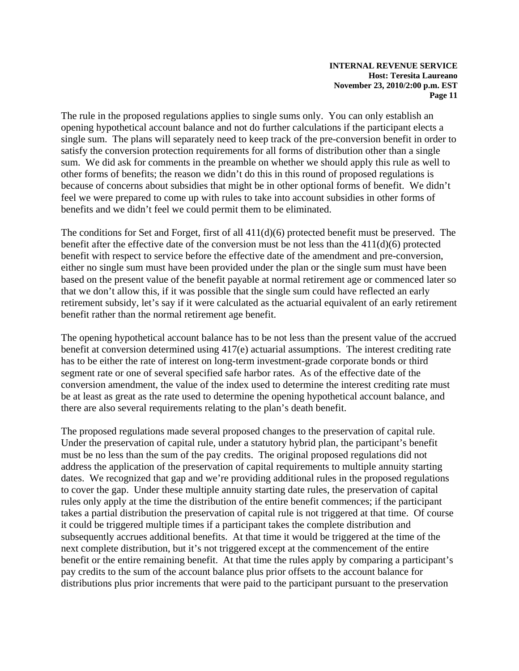The rule in the proposed regulations applies to single sums only. You can only establish an opening hypothetical account balance and not do further calculations if the participant elects a single sum. The plans will separately need to keep track of the pre-conversion benefit in order to satisfy the conversion protection requirements for all forms of distribution other than a single sum. We did ask for comments in the preamble on whether we should apply this rule as well to other forms of benefits; the reason we didn't do this in this round of proposed regulations is because of concerns about subsidies that might be in other optional forms of benefit. We didn't feel we were prepared to come up with rules to take into account subsidies in other forms of benefits and we didn't feel we could permit them to be eliminated.

The conditions for Set and Forget, first of all 411(d)(6) protected benefit must be preserved. The benefit after the effective date of the conversion must be not less than the 411(d)(6) protected benefit with respect to service before the effective date of the amendment and pre-conversion, either no single sum must have been provided under the plan or the single sum must have been based on the present value of the benefit payable at normal retirement age or commenced later so that we don't allow this, if it was possible that the single sum could have reflected an early retirement subsidy, let's say if it were calculated as the actuarial equivalent of an early retirement benefit rather than the normal retirement age benefit.

The opening hypothetical account balance has to be not less than the present value of the accrued benefit at conversion determined using 417(e) actuarial assumptions. The interest crediting rate has to be either the rate of interest on long-term investment-grade corporate bonds or third segment rate or one of several specified safe harbor rates. As of the effective date of the conversion amendment, the value of the index used to determine the interest crediting rate must be at least as great as the rate used to determine the opening hypothetical account balance, and there are also several requirements relating to the plan's death benefit.

The proposed regulations made several proposed changes to the preservation of capital rule. Under the preservation of capital rule, under a statutory hybrid plan, the participant's benefit must be no less than the sum of the pay credits. The original proposed regulations did not address the application of the preservation of capital requirements to multiple annuity starting dates. We recognized that gap and we're providing additional rules in the proposed regulations to cover the gap. Under these multiple annuity starting date rules, the preservation of capital rules only apply at the time the distribution of the entire benefit commences; if the participant takes a partial distribution the preservation of capital rule is not triggered at that time. Of course it could be triggered multiple times if a participant takes the complete distribution and subsequently accrues additional benefits. At that time it would be triggered at the time of the next complete distribution, but it's not triggered except at the commencement of the entire benefit or the entire remaining benefit. At that time the rules apply by comparing a participant's pay credits to the sum of the account balance plus prior offsets to the account balance for distributions plus prior increments that were paid to the participant pursuant to the preservation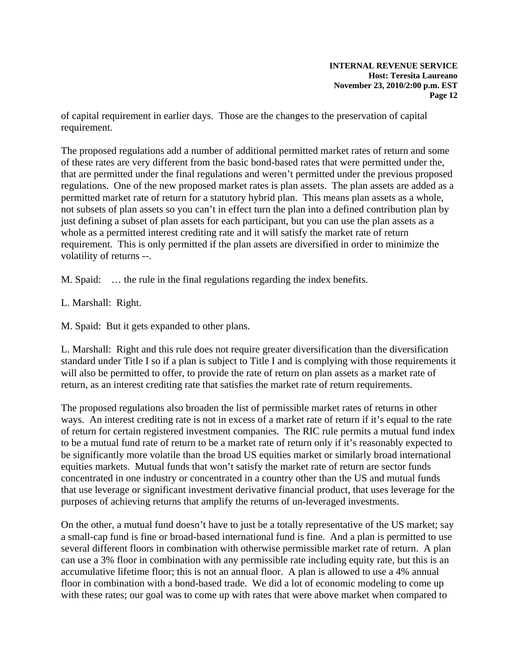of capital requirement in earlier days. Those are the changes to the preservation of capital requirement.

The proposed regulations add a number of additional permitted market rates of return and some of these rates are very different from the basic bond-based rates that were permitted under the, that are permitted under the final regulations and weren't permitted under the previous proposed regulations. One of the new proposed market rates is plan assets. The plan assets are added as a permitted market rate of return for a statutory hybrid plan. This means plan assets as a whole, not subsets of plan assets so you can't in effect turn the plan into a defined contribution plan by just defining a subset of plan assets for each participant, but you can use the plan assets as a whole as a permitted interest crediting rate and it will satisfy the market rate of return requirement. This is only permitted if the plan assets are diversified in order to minimize the volatility of returns --.

M. Spaid: … the rule in the final regulations regarding the index benefits.

L. Marshall: Right.

M. Spaid: But it gets expanded to other plans.

L. Marshall: Right and this rule does not require greater diversification than the diversification standard under Title I so if a plan is subject to Title I and is complying with those requirements it will also be permitted to offer, to provide the rate of return on plan assets as a market rate of return, as an interest crediting rate that satisfies the market rate of return requirements.

The proposed regulations also broaden the list of permissible market rates of returns in other ways. An interest crediting rate is not in excess of a market rate of return if it's equal to the rate of return for certain registered investment companies. The RIC rule permits a mutual fund index to be a mutual fund rate of return to be a market rate of return only if it's reasonably expected to be significantly more volatile than the broad US equities market or similarly broad international equities markets. Mutual funds that won't satisfy the market rate of return are sector funds concentrated in one industry or concentrated in a country other than the US and mutual funds that use leverage or significant investment derivative financial product, that uses leverage for the purposes of achieving returns that amplify the returns of un-leveraged investments.

On the other, a mutual fund doesn't have to just be a totally representative of the US market; say a small-cap fund is fine or broad-based international fund is fine. And a plan is permitted to use several different floors in combination with otherwise permissible market rate of return. A plan can use a 3% floor in combination with any permissible rate including equity rate, but this is an accumulative lifetime floor; this is not an annual floor. A plan is allowed to use a 4% annual floor in combination with a bond-based trade. We did a lot of economic modeling to come up with these rates; our goal was to come up with rates that were above market when compared to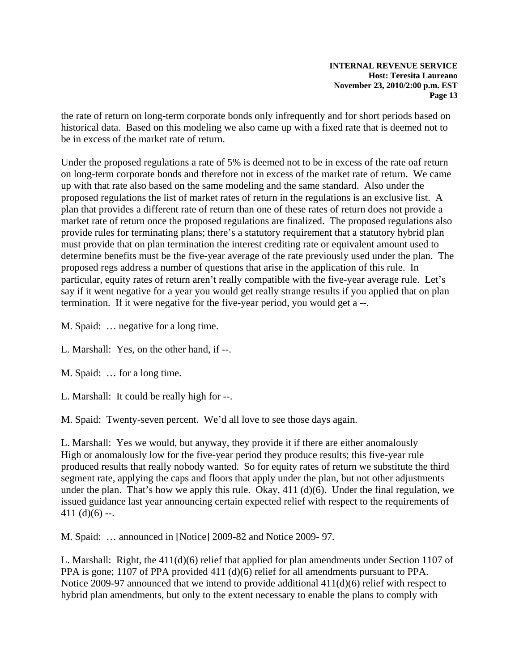the rate of return on long-term corporate bonds only infrequently and for short periods based on historical data. Based on this modeling we also came up with a fixed rate that is deemed not to be in excess of the market rate of return.

Under the proposed regulations a rate of 5% is deemed not to be in excess of the rate oaf return on long-term corporate bonds and therefore not in excess of the market rate of return. We came up with that rate also based on the same modeling and the same standard. Also under the proposed regulations the list of market rates of return in the regulations is an exclusive list. A plan that provides a different rate of return than one of these rates of return does not provide a market rate of return once the proposed regulations are finalized. The proposed regulations also provide rules for terminating plans; there's a statutory requirement that a statutory hybrid plan must provide that on plan termination the interest crediting rate or equivalent amount used to determine benefits must be the five-year average of the rate previously used under the plan. The proposed regs address a number of questions that arise in the application of this rule. In particular, equity rates of return aren't really compatible with the five-year average rule. Let's say if it went negative for a year you would get really strange results if you applied that on plan termination. If it were negative for the five-year period, you would get a --.

M. Spaid: … negative for a long time.

L. Marshall: Yes, on the other hand, if --.

M. Spaid: … for a long time.

L. Marshall: It could be really high for --.

M. Spaid: Twenty-seven percent. We'd all love to see those days again.

L. Marshall: Yes we would, but anyway, they provide it if there are either anomalously High or anomalously low for the five-year period they produce results; this five-year rule produced results that really nobody wanted. So for equity rates of return we substitute the third segment rate, applying the caps and floors that apply under the plan, but not other adjustments under the plan. That's how we apply this rule. Okay,  $411 \, (d)(6)$ . Under the final regulation, we issued guidance last year announcing certain expected relief with respect to the requirements of 411 $(d)(6)$  --.

M. Spaid: … announced in [Notice] 2009-82 and Notice 2009- 97.

L. Marshall: Right, the 411(d)(6) relief that applied for plan amendments under Section 1107 of PPA is gone; 1107 of PPA provided 411 (d)(6) relief for all amendments pursuant to PPA. Notice 2009-97 announced that we intend to provide additional 411(d)(6) relief with respect to hybrid plan amendments, but only to the extent necessary to enable the plans to comply with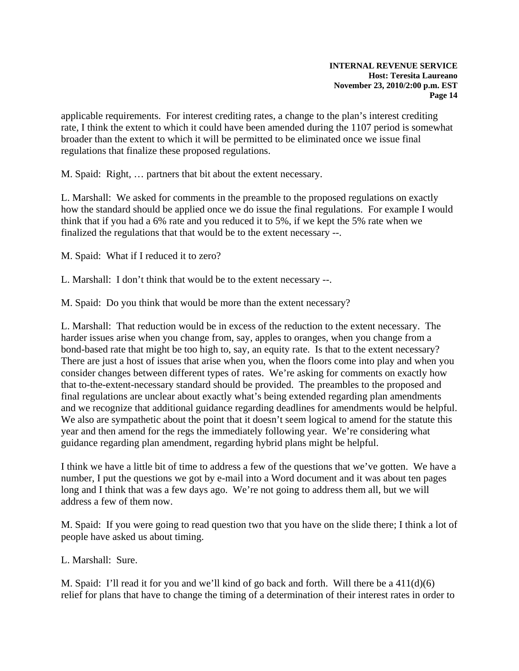applicable requirements. For interest crediting rates, a change to the plan's interest crediting rate, I think the extent to which it could have been amended during the 1107 period is somewhat broader than the extent to which it will be permitted to be eliminated once we issue final regulations that finalize these proposed regulations.

M. Spaid: Right, … partners that bit about the extent necessary.

L. Marshall: We asked for comments in the preamble to the proposed regulations on exactly how the standard should be applied once we do issue the final regulations. For example I would think that if you had a 6% rate and you reduced it to 5%, if we kept the 5% rate when we finalized the regulations that that would be to the extent necessary --.

M. Spaid: What if I reduced it to zero?

L. Marshall: I don't think that would be to the extent necessary --.

M. Spaid: Do you think that would be more than the extent necessary?

L. Marshall: That reduction would be in excess of the reduction to the extent necessary. The harder issues arise when you change from, say, apples to oranges, when you change from a bond-based rate that might be too high to, say, an equity rate. Is that to the extent necessary? There are just a host of issues that arise when you, when the floors come into play and when you consider changes between different types of rates. We're asking for comments on exactly how that to-the-extent-necessary standard should be provided. The preambles to the proposed and final regulations are unclear about exactly what's being extended regarding plan amendments and we recognize that additional guidance regarding deadlines for amendments would be helpful. We also are sympathetic about the point that it doesn't seem logical to amend for the statute this year and then amend for the regs the immediately following year. We're considering what guidance regarding plan amendment, regarding hybrid plans might be helpful.

I think we have a little bit of time to address a few of the questions that we've gotten. We have a number, I put the questions we got by e-mail into a Word document and it was about ten pages long and I think that was a few days ago. We're not going to address them all, but we will address a few of them now.

M. Spaid: If you were going to read question two that you have on the slide there; I think a lot of people have asked us about timing.

L. Marshall: Sure.

M. Spaid: I'll read it for you and we'll kind of go back and forth. Will there be a 411(d)(6) relief for plans that have to change the timing of a determination of their interest rates in order to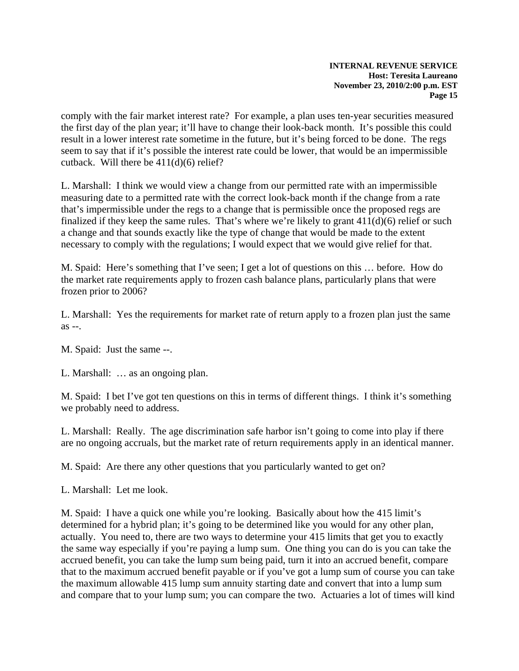comply with the fair market interest rate? For example, a plan uses ten-year securities measured the first day of the plan year; it'll have to change their look-back month. It's possible this could result in a lower interest rate sometime in the future, but it's being forced to be done. The regs seem to say that if it's possible the interest rate could be lower, that would be an impermissible cutback. Will there be 411(d)(6) relief?

L. Marshall: I think we would view a change from our permitted rate with an impermissible measuring date to a permitted rate with the correct look-back month if the change from a rate that's impermissible under the regs to a change that is permissible once the proposed regs are finalized if they keep the same rules. That's where we're likely to grant  $411(d)(6)$  relief or such a change and that sounds exactly like the type of change that would be made to the extent necessary to comply with the regulations; I would expect that we would give relief for that.

M. Spaid: Here's something that I've seen; I get a lot of questions on this … before. How do the market rate requirements apply to frozen cash balance plans, particularly plans that were frozen prior to 2006?

L. Marshall: Yes the requirements for market rate of return apply to a frozen plan just the same as --.

M. Spaid: Just the same --.

L. Marshall: … as an ongoing plan.

M. Spaid: I bet I've got ten questions on this in terms of different things. I think it's something we probably need to address.

L. Marshall: Really. The age discrimination safe harbor isn't going to come into play if there are no ongoing accruals, but the market rate of return requirements apply in an identical manner.

M. Spaid: Are there any other questions that you particularly wanted to get on?

L. Marshall: Let me look.

M. Spaid: I have a quick one while you're looking. Basically about how the 415 limit's determined for a hybrid plan; it's going to be determined like you would for any other plan, actually. You need to, there are two ways to determine your 415 limits that get you to exactly the same way especially if you're paying a lump sum. One thing you can do is you can take the accrued benefit, you can take the lump sum being paid, turn it into an accrued benefit, compare that to the maximum accrued benefit payable or if you've got a lump sum of course you can take the maximum allowable 415 lump sum annuity starting date and convert that into a lump sum and compare that to your lump sum; you can compare the two. Actuaries a lot of times will kind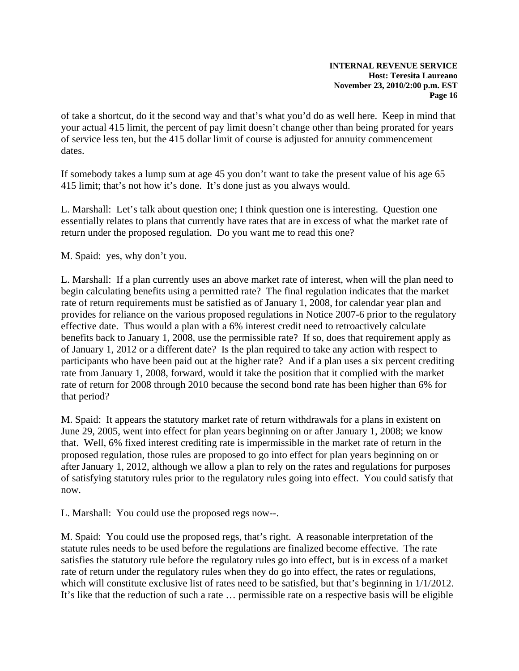of take a shortcut, do it the second way and that's what you'd do as well here. Keep in mind that your actual 415 limit, the percent of pay limit doesn't change other than being prorated for years of service less ten, but the 415 dollar limit of course is adjusted for annuity commencement dates.

If somebody takes a lump sum at age 45 you don't want to take the present value of his age 65 415 limit; that's not how it's done. It's done just as you always would.

L. Marshall: Let's talk about question one; I think question one is interesting. Question one essentially relates to plans that currently have rates that are in excess of what the market rate of return under the proposed regulation. Do you want me to read this one?

M. Spaid: yes, why don't you.

L. Marshall: If a plan currently uses an above market rate of interest, when will the plan need to begin calculating benefits using a permitted rate? The final regulation indicates that the market rate of return requirements must be satisfied as of January 1, 2008, for calendar year plan and provides for reliance on the various proposed regulations in Notice 2007-6 prior to the regulatory effective date. Thus would a plan with a 6% interest credit need to retroactively calculate benefits back to January 1, 2008, use the permissible rate? If so, does that requirement apply as of January 1, 2012 or a different date? Is the plan required to take any action with respect to participants who have been paid out at the higher rate? And if a plan uses a six percent crediting rate from January 1, 2008, forward, would it take the position that it complied with the market rate of return for 2008 through 2010 because the second bond rate has been higher than 6% for that period?

M. Spaid: It appears the statutory market rate of return withdrawals for a plans in existent on June 29, 2005, went into effect for plan years beginning on or after January 1, 2008; we know that. Well, 6% fixed interest crediting rate is impermissible in the market rate of return in the proposed regulation, those rules are proposed to go into effect for plan years beginning on or after January 1, 2012, although we allow a plan to rely on the rates and regulations for purposes of satisfying statutory rules prior to the regulatory rules going into effect. You could satisfy that now.

L. Marshall: You could use the proposed regs now--.

M. Spaid: You could use the proposed regs, that's right. A reasonable interpretation of the statute rules needs to be used before the regulations are finalized become effective. The rate satisfies the statutory rule before the regulatory rules go into effect, but is in excess of a market rate of return under the regulatory rules when they do go into effect, the rates or regulations, which will constitute exclusive list of rates need to be satisfied, but that's beginning in  $1/1/2012$ . It's like that the reduction of such a rate … permissible rate on a respective basis will be eligible